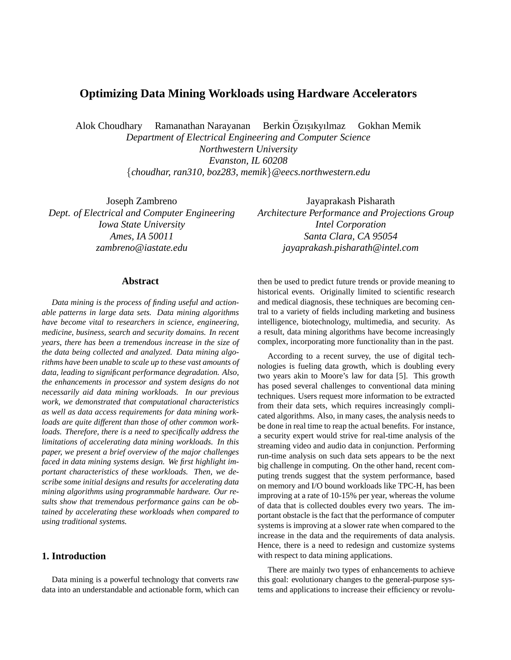# **Optimizing Data Mining Workloads using Hardware Accelerators**

Alok Choudhary Ramanathan Narayanan Berkin Özisikyilmaz Gokhan Memik

*Department of Electrical Engineering and Computer Science Northwestern University Evanston, IL 60208* {*choudhar, ran310, boz283, memik*}*@eecs.northwestern.edu*

Joseph Zambreno *Dept. of Electrical and Computer Engineering Iowa State University Ames, IA 50011 zambreno@iastate.edu*

# Jayaprakash Pisharath *Architecture Performance and Projections Group Intel Corporation Santa Clara, CA 95054 jayaprakash.pisharath@intel.com*

#### **Abstract**

*Data mining is the process of finding useful and actionable patterns in large data sets. Data mining algorithms have become vital to researchers in science, engineering, medicine, business, search and security domains. In recent years, there has been a tremendous increase in the size of the data being collected and analyzed. Data mining algorithms have been unable to scale up to these vast amounts of data, leading to significant performance degradation. Also, the enhancements in processor and system designs do not necessarily aid data mining workloads. In our previous work, we demonstrated that computational characteristics as well as data access requirements for data mining workloads are quite different than those of other common workloads. Therefore, there is a need to specifically address the limitations of accelerating data mining workloads. In this paper, we present a brief overview of the major challenges faced in data mining systems design. We first highlight important characteristics of these workloads. Then, we describe some initial designs and results for accelerating data mining algorithms using programmable hardware. Our results show that tremendous performance gains can be obtained by accelerating these workloads when compared to using traditional systems.*

### **1. Introduction**

Data mining is a powerful technology that converts raw data into an understandable and actionable form, which can then be used to predict future trends or provide meaning to historical events. Originally limited to scientific research and medical diagnosis, these techniques are becoming central to a variety of fields including marketing and business intelligence, biotechnology, multimedia, and security. As a result, data mining algorithms have become increasingly complex, incorporating more functionality than in the past.

According to a recent survey, the use of digital technologies is fueling data growth, which is doubling every two years akin to Moore's law for data [5]. This growth has posed several challenges to conventional data mining techniques. Users request more information to be extracted from their data sets, which requires increasingly complicated algorithms. Also, in many cases, the analysis needs to be done in real time to reap the actual benefits. For instance, a security expert would strive for real-time analysis of the streaming video and audio data in conjunction. Performing run-time analysis on such data sets appears to be the next big challenge in computing. On the other hand, recent computing trends suggest that the system performance, based on memory and I/O bound workloads like TPC-H, has been improving at a rate of 10-15% per year, whereas the volume of data that is collected doubles every two years. The important obstacle is the fact that the performance of computer systems is improving at a slower rate when compared to the increase in the data and the requirements of data analysis. Hence, there is a need to redesign and customize systems with respect to data mining applications.

There are mainly two types of enhancements to achieve this goal: evolutionary changes to the general-purpose systems and applications to increase their efficiency or revolu-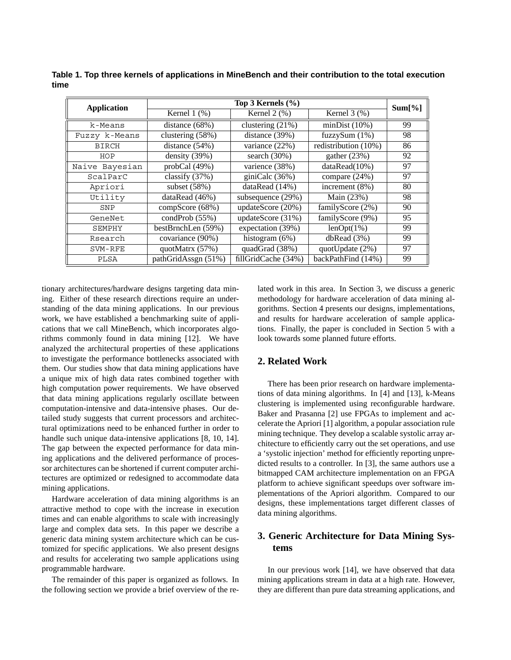| <b>Application</b> | Top 3 Kernels $(\% )$ |                     |                      | Sum[%] |
|--------------------|-----------------------|---------------------|----------------------|--------|
|                    | Kernel $1$ $(\%)$     | Kernel $2$ $%$ )    | Kernel $3$ $(\%)$    |        |
| k-Means            | distance (68%)        | clustering $(21%)$  | minDist(10%)         | 99     |
| Fuzzy k-Means      | clustering (58%)      | distance $(39%)$    | fuzzySum $(1%)$      | 98     |
| <b>BIRCH</b>       | distance $(54%)$      | variance (22%)      | redistribution (10%) | 86     |
| HOP                | density $(39%)$       | search $(30\%)$     | gather $(23%)$       | 92     |
| Naive Bayesian     | probCal(49%)          | varience (38%)      | dataRead(10%)        | 97     |
| ScalParC           | classify $(37%)$      | giniCalc (36%)      | compare (24%)        | 97     |
| Apriori            | subset $(58%)$        | dataRead $(14%)$    | increment $(8\%)$    | 80     |
| Utility            | dataRead $(46%)$      | subsequence (29%)   | Main (23%)           | 98     |
| SNP                | compScore (68%)       | updateScore (20%)   | familyScore (2%)     | 90     |
| GeneNet            | condProb $(55%)$      | updateScore (31%)   | familyScore (9%)     | 95     |
| SEMPHY             | bestBrnchLen (59%)    | expectation (39%)   | $lenOpt(1\%)$        | 99     |
| Rsearch            | covariance (90%)      | histogram $(6\%)$   | dbRead(3%)           | 99     |
| SVM-RFE            | quotMatrx (57%)       | quadGrad (38%)      | quotUpdate $(2%)$    | 97     |
| PLSA               | pathGridAssgn (51%)   | fillGridCache (34%) | backPathFind (14%)   | 99     |

**Table 1. Top three kernels of applications in MineBench and their contribution to the total execution time**

tionary architectures/hardware designs targeting data mining. Either of these research directions require an understanding of the data mining applications. In our previous work, we have established a benchmarking suite of applications that we call MineBench, which incorporates algorithms commonly found in data mining [12]. We have analyzed the architectural properties of these applications to investigate the performance bottlenecks associated with them. Our studies show that data mining applications have a unique mix of high data rates combined together with high computation power requirements. We have observed that data mining applications regularly oscillate between computation-intensive and data-intensive phases. Our detailed study suggests that current processors and architectural optimizations need to be enhanced further in order to handle such unique data-intensive applications [8, 10, 14]. The gap between the expected performance for data mining applications and the delivered performance of processor architectures can be shortened if current computer architectures are optimized or redesigned to accommodate data mining applications.

Hardware acceleration of data mining algorithms is an attractive method to cope with the increase in execution times and can enable algorithms to scale with increasingly large and complex data sets. In this paper we describe a generic data mining system architecture which can be customized for specific applications. We also present designs and results for accelerating two sample applications using programmable hardware.

The remainder of this paper is organized as follows. In the following section we provide a brief overview of the related work in this area. In Section 3, we discuss a generic methodology for hardware acceleration of data mining algorithms. Section 4 presents our designs, implementations, and results for hardware acceleration of sample applications. Finally, the paper is concluded in Section 5 with a look towards some planned future efforts.

## **2. Related Work**

There has been prior research on hardware implementations of data mining algorithms. In [4] and [13], k-Means clustering is implemented using reconfigurable hardware. Baker and Prasanna [2] use FPGAs to implement and accelerate the Apriori [1] algorithm, a popular association rule mining technique. They develop a scalable systolic array architecture to efficiently carry out the set operations, and use a 'systolic injection' method for efficiently reporting unpredicted results to a controller. In [3], the same authors use a bitmapped CAM architecture implementation on an FPGA platform to achieve significant speedups over software implementations of the Apriori algorithm. Compared to our designs, these implementations target different classes of data mining algorithms.

# **3. Generic Architecture for Data Mining Systems**

In our previous work [14], we have observed that data mining applications stream in data at a high rate. However, they are different than pure data streaming applications, and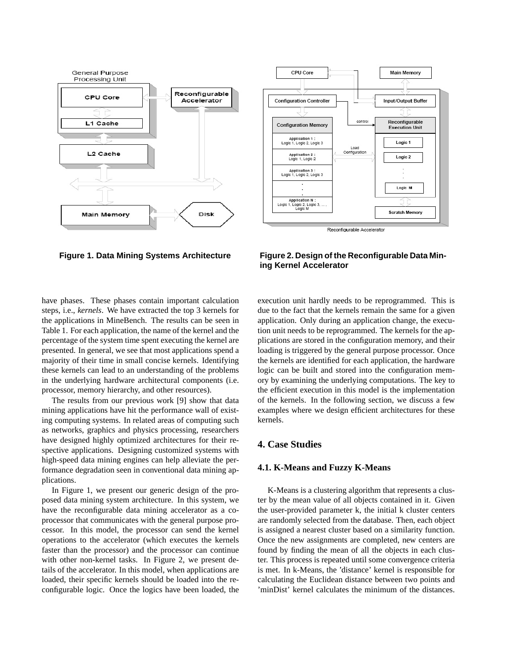



**Figure 1. Data Mining Systems Architecture Figure 2. Design of the Reconfigurable Data Mining Kernel Accelerator**

have phases. These phases contain important calculation steps, i.e., *kernels*. We have extracted the top 3 kernels for the applications in MineBench. The results can be seen in Table 1. For each application, the name of the kernel and the percentage of the system time spent executing the kernel are presented. In general, we see that most applications spend a majority of their time in small concise kernels. Identifying these kernels can lead to an understanding of the problems in the underlying hardware architectural components (i.e. processor, memory hierarchy, and other resources).

The results from our previous work [9] show that data mining applications have hit the performance wall of existing computing systems. In related areas of computing such as networks, graphics and physics processing, researchers have designed highly optimized architectures for their respective applications. Designing customized systems with high-speed data mining engines can help alleviate the performance degradation seen in conventional data mining applications.

In Figure 1, we present our generic design of the proposed data mining system architecture. In this system, we have the reconfigurable data mining accelerator as a coprocessor that communicates with the general purpose processor. In this model, the processor can send the kernel operations to the accelerator (which executes the kernels faster than the processor) and the processor can continue with other non-kernel tasks. In Figure 2, we present details of the accelerator. In this model, when applications are loaded, their specific kernels should be loaded into the reconfigurable logic. Once the logics have been loaded, the execution unit hardly needs to be reprogrammed. This is due to the fact that the kernels remain the same for a given application. Only during an application change, the execution unit needs to be reprogrammed. The kernels for the applications are stored in the configuration memory, and their loading is triggered by the general purpose processor. Once the kernels are identified for each application, the hardware logic can be built and stored into the configuration memory by examining the underlying computations. The key to the efficient execution in this model is the implementation of the kernels. In the following section, we discuss a few examples where we design efficient architectures for these kernels.

# **4. Case Studies**

#### **4.1. K-Means and Fuzzy K-Means**

K-Means is a clustering algorithm that represents a cluster by the mean value of all objects contained in it. Given the user-provided parameter k, the initial k cluster centers are randomly selected from the database. Then, each object is assigned a nearest cluster based on a similarity function. Once the new assignments are completed, new centers are found by finding the mean of all the objects in each cluster. This process is repeated until some convergence criteria is met. In k-Means, the 'distance' kernel is responsible for calculating the Euclidean distance between two points and 'minDist' kernel calculates the minimum of the distances.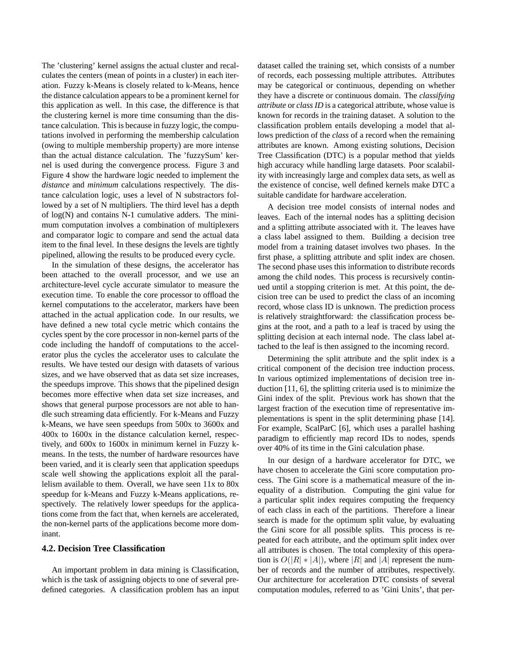The 'clustering' kernel assigns the actual cluster and recalculates the centers (mean of points in a cluster) in each iteration. Fuzzy k-Means is closely related to k-Means, hence the distance calculation appears to be a prominent kernel for this application as well. In this case, the difference is that the clustering kernel is more time consuming than the distance calculation. This is because in fuzzy logic, the computations involved in performing the membership calculation (owing to multiple membership property) are more intense than the actual distance calculation. The 'fuzzySum' kernel is used during the convergence process. Figure 3 and Figure 4 show the hardware logic needed to implement the *distance* and *minimum* calculations respectively. The distance calculation logic, uses a level of N substractors followed by a set of N multipliers. The third level has a depth of log(N) and contains N-1 cumulative adders. The minimum computation involves a combination of multiplexers and comparator logic to compare and send the actual data item to the final level. In these designs the levels are tightly pipelined, allowing the results to be produced every cycle.

In the simulation of these designs, the accelerator has been attached to the overall processor, and we use an architecture-level cycle accurate simulator to measure the execution time. To enable the core processor to offload the kernel computations to the accelerator, markers have been attached in the actual application code. In our results, we have defined a new total cycle metric which contains the cycles spent by the core processor in non-kernel parts of the code including the handoff of computations to the accelerator plus the cycles the accelerator uses to calculate the results. We have tested our design with datasets of various sizes, and we have observed that as data set size increases, the speedups improve. This shows that the pipelined design becomes more effective when data set size increases, and shows that general purpose processors are not able to handle such streaming data efficiently. For k-Means and Fuzzy k-Means, we have seen speedups from 500x to 3600x and 400x to 1600x in the distance calculation kernel, respectively, and 600x to 1600x in minimum kernel in Fuzzy kmeans. In the tests, the number of hardware resources have been varied, and it is clearly seen that application speedups scale well showing the applications exploit all the parallelism available to them. Overall, we have seen 11x to 80x speedup for k-Means and Fuzzy k-Means applications, respectively. The relatively lower speedups for the applications come from the fact that, when kernels are accelerated, the non-kernel parts of the applications become more dominant.

### **4.2. Decision Tree Classification**

An important problem in data mining is Classification, which is the task of assigning objects to one of several predefined categories. A classification problem has an input dataset called the training set, which consists of a number of records, each possessing multiple attributes. Attributes may be categorical or continuous, depending on whether they have a discrete or continuous domain. The *classifying attribute* or *class ID* is a categorical attribute, whose value is known for records in the training dataset. A solution to the classification problem entails developing a model that allows prediction of the *class* of a record when the remaining attributes are known. Among existing solutions, Decision Tree Classification (DTC) is a popular method that yields high accuracy while handling large datasets. Poor scalability with increasingly large and complex data sets, as well as the existence of concise, well defined kernels make DTC a suitable candidate for hardware acceleration.

A decision tree model consists of internal nodes and leaves. Each of the internal nodes has a splitting decision and a splitting attribute associated with it. The leaves have a class label assigned to them. Building a decision tree model from a training dataset involves two phases. In the first phase, a splitting attribute and split index are chosen. The second phase uses this information to distribute records among the child nodes. This process is recursively continued until a stopping criterion is met. At this point, the decision tree can be used to predict the class of an incoming record, whose class ID is unknown. The prediction process is relatively straightforward: the classification process begins at the root, and a path to a leaf is traced by using the splitting decision at each internal node. The class label attached to the leaf is then assigned to the incoming record.

Determining the split attribute and the split index is a critical component of the decision tree induction process. In various optimized implementations of decision tree induction [11, 6], the splitting criteria used is to minimize the Gini index of the split. Previous work has shown that the largest fraction of the execution time of representative implementations is spent in the split determining phase [14]. For example, ScalParC [6], which uses a parallel hashing paradigm to efficiently map record IDs to nodes, spends over 40% of its time in the Gini calculation phase.

In our design of a hardware accelerator for DTC, we have chosen to accelerate the Gini score computation process. The Gini score is a mathematical measure of the inequality of a distribution. Computing the gini value for a particular split index requires computing the frequency of each class in each of the partitions. Therefore a linear search is made for the optimum split value, by evaluating the Gini score for all possible splits. This process is repeated for each attribute, and the optimum split index over all attributes is chosen. The total complexity of this operation is  $O(|R| * |A|)$ , where |*R*| and |*A*| represent the number of records and the number of attributes, respectively. Our architecture for acceleration DTC consists of several computation modules, referred to as 'Gini Units', that per-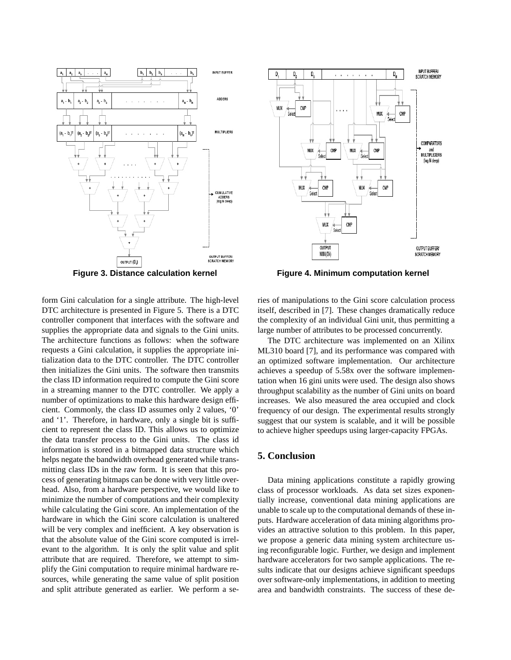



**Figure 3. Distance calculation kernel Figure 4. Minimum computation kernel**

form Gini calculation for a single attribute. The high-level DTC architecture is presented in Figure 5. There is a DTC controller component that interfaces with the software and supplies the appropriate data and signals to the Gini units. The architecture functions as follows: when the software requests a Gini calculation, it supplies the appropriate initialization data to the DTC controller. The DTC controller then initializes the Gini units. The software then transmits the class ID information required to compute the Gini score in a streaming manner to the DTC controller. We apply a number of optimizations to make this hardware design efficient. Commonly, the class ID assumes only 2 values, '0' and '1'. Therefore, in hardware, only a single bit is sufficient to represent the class ID. This allows us to optimize the data transfer process to the Gini units. The class id information is stored in a bitmapped data structure which helps negate the bandwidth overhead generated while transmitting class IDs in the raw form. It is seen that this process of generating bitmaps can be done with very little overhead. Also, from a hardware perspective, we would like to minimize the number of computations and their complexity while calculating the Gini score. An implementation of the hardware in which the Gini score calculation is unaltered will be very complex and inefficient. A key observation is that the absolute value of the Gini score computed is irrelevant to the algorithm. It is only the split value and split attribute that are required. Therefore, we attempt to simplify the Gini computation to require minimal hardware resources, while generating the same value of split position and split attribute generated as earlier. We perform a series of manipulations to the Gini score calculation process itself, described in [7]. These changes dramatically reduce the complexity of an individual Gini unit, thus permitting a large number of attributes to be processed concurrently.

The DTC architecture was implemented on an Xilinx ML310 board [7], and its performance was compared with an optimized software implementation. Our architecture achieves a speedup of 5.58x over the software implementation when 16 gini units were used. The design also shows throughput scalability as the number of Gini units on board increases. We also measured the area occupied and clock frequency of our design. The experimental results strongly suggest that our system is scalable, and it will be possible to achieve higher speedups using larger-capacity FPGAs.

### **5. Conclusion**

Data mining applications constitute a rapidly growing class of processor workloads. As data set sizes exponentially increase, conventional data mining applications are unable to scale up to the computational demands of these inputs. Hardware acceleration of data mining algorithms provides an attractive solution to this problem. In this paper, we propose a generic data mining system architecture using reconfigurable logic. Further, we design and implement hardware accelerators for two sample applications. The results indicate that our designs achieve significant speedups over software-only implementations, in addition to meeting area and bandwidth constraints. The success of these de-